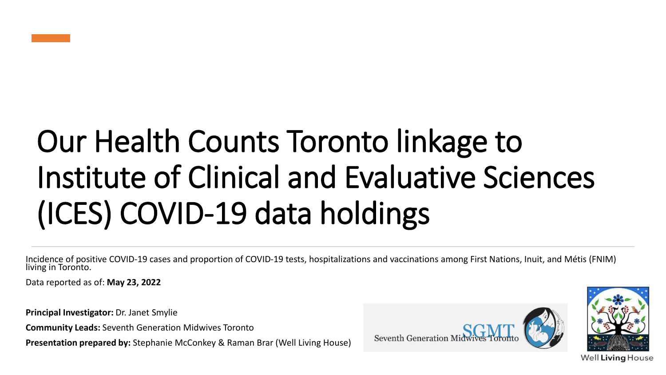

# Our Health Counts Toronto linkage to Institute of Clinical and Evaluative Sciences (ICES) COVID-19 data holdings

Incidence of positive COVID-19 cases and proportion of COVID-19 tests, hospitalizations and vaccinations among First Nations, Inuit, and Métis (FNIM) living in Toronto.

Data reported as of: **May 23, 2022**

**Principal Investigator:** Dr. Janet Smylie

**Community Leads:** Seventh Generation Midwives Toronto

**Presentation prepared by:** Stephanie McConkey & Raman Brar (Well Living House)





Well Living House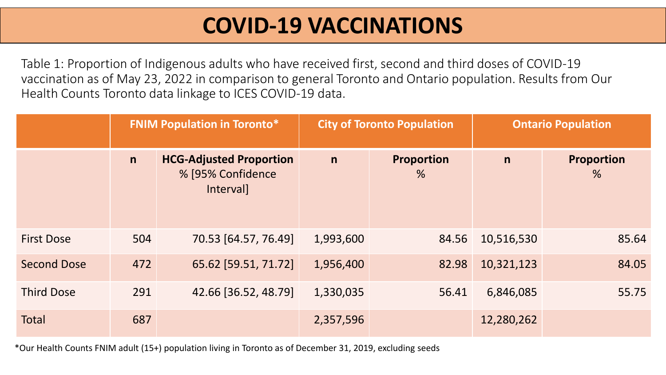Table 1: Proportion of Indigenous adults who have received first, second and third doses of COVID-19 vaccination as of May 23, 2022 in comparison to general Toronto and Ontario population. Results from Our Health Counts Toronto data linkage to ICES COVID-19 data.

|                    |     | <b>FNIM Population in Toronto*</b>                               |           | <b>City of Toronto Population</b>  |              | <b>Ontario Population</b> |
|--------------------|-----|------------------------------------------------------------------|-----------|------------------------------------|--------------|---------------------------|
|                    | n   | <b>HCG-Adjusted Proportion</b><br>% [95% Confidence<br>Interval] | n         | <b>Proportion</b><br>$\frac{9}{6}$ | $\mathsf{n}$ | <b>Proportion</b><br>%    |
| <b>First Dose</b>  | 504 | 70.53 [64.57, 76.49]                                             | 1,993,600 | 84.56                              | 10,516,530   | 85.64                     |
| <b>Second Dose</b> | 472 | 65.62 [59.51, 71.72]                                             | 1,956,400 | 82.98                              | 10,321,123   | 84.05                     |
| <b>Third Dose</b>  | 291 | 42.66 [36.52, 48.79]                                             | 1,330,035 | 56.41                              | 6,846,085    | 55.75                     |
| <b>Total</b>       | 687 |                                                                  | 2,357,596 |                                    | 12,280,262   |                           |

\*Our Health Counts FNIM adult (15+) population living in Toronto as of December 31, 2019, excluding seeds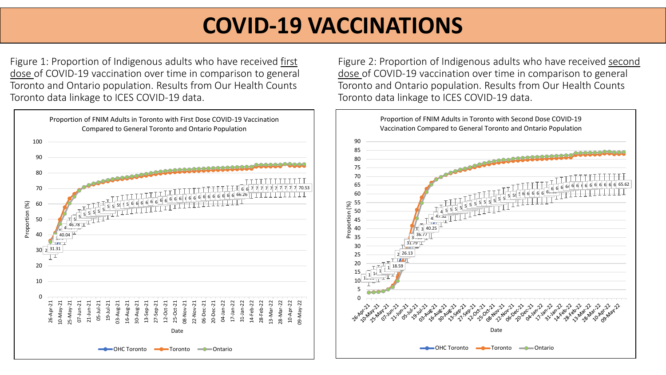Figure 1: Proportion of Indigenous adults who have received first dose of COVID-19 vaccination over time in comparison to general Toronto and Ontario population. Results from Our Health Counts Toronto data linkage to ICES COVID-19 data.



Figure 2: Proportion of Indigenous adults who have received second dose of COVID-19 vaccination over time in comparison to general Toronto and Ontario population. Results from Our Health Counts Toronto data linkage to ICES COVID-19 data.

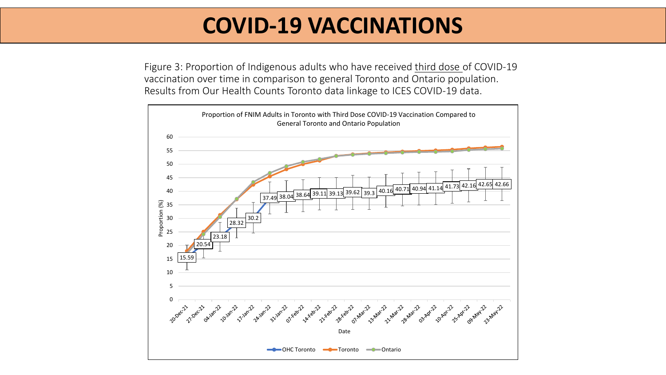Figure 3: Proportion of Indigenous adults who have received third dose of COVID-19 vaccination over time in comparison to general Toronto and Ontario population. Results from Our Health Counts Toronto data linkage to ICES COVID-19 data.

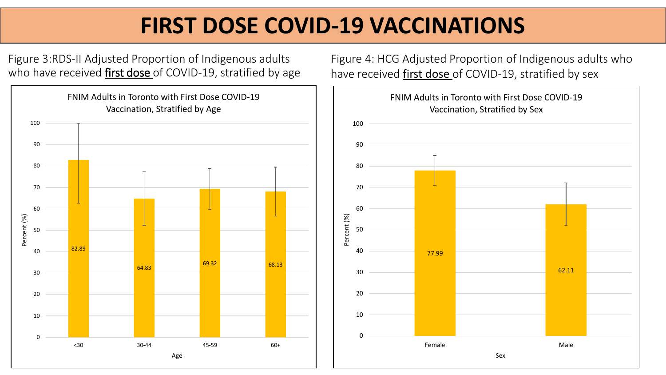# **FIRST DOSE COVID-19 VACCINATIONS**

Figure 3:RDS-II Adjusted Proportion of Indigenous adults who have received first dose of COVID-19, stratified by age



Figure 4: HCG Adjusted Proportion of Indigenous adults who have received first dose of COVID-19, stratified by sex

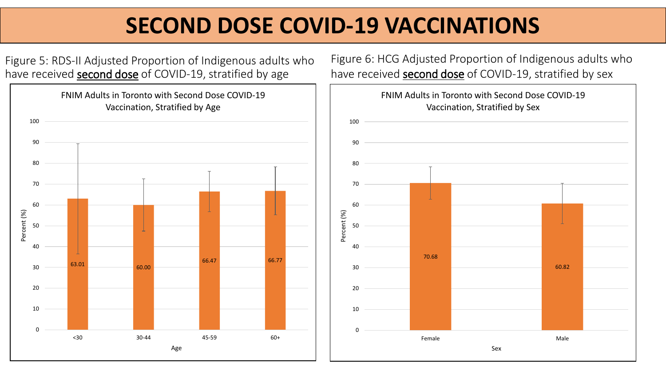# **SECOND DOSE COVID-19 VACCINATIONS**

Figure 5: RDS-II Adjusted Proportion of Indigenous adults who have received **second dose** of COVID-19, stratified by age



Figure 6: HCG Adjusted Proportion of Indigenous adults who have received **second dose** of COVID-19, stratified by sex

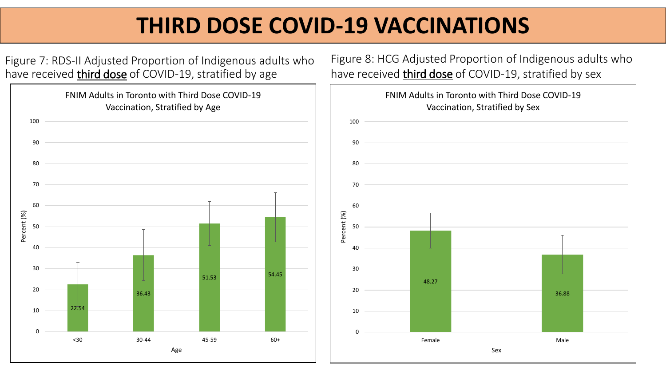# **THIRD DOSE COVID-19 VACCINATIONS**

Figure 7: RDS-II Adjusted Proportion of Indigenous adults who have received *third dose* of COVID-19, stratified by age



Figure 8: HCG Adjusted Proportion of Indigenous adults who have received *third dose* of COVID-19, stratified by sex

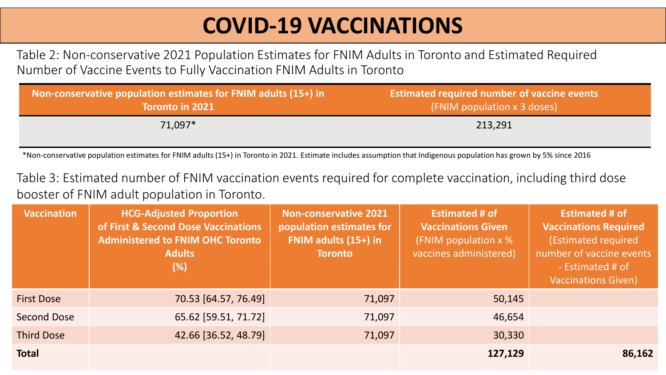Table 2: Non-conservative 2021 Population Estimates for FNIM Adults in Toronto and Estimated Required Number of Vaccine Events to Fully Vaccination FNIM Adults in Toronto

| Non-conservative population estimates for FNIM adults (15+) in | <b>Estimated required number of vaccine events</b> |
|----------------------------------------------------------------|----------------------------------------------------|
| <b>Toronto in 2021</b>                                         | $\sqrt{(FNIM)$ population x 3 doses)               |
| 71,097*                                                        | 213,291                                            |

\*Non-conservative population estimates for FNIM adults (15+) in Toronto in 2021. Estimate includes assumption that Indigenous population has grown by 5% since 2016

Table 3: Estimated number of FNIM vaccination events required for complete vaccination, including third dose booster of FNIM adult population in Toronto.

| <b>Vaccination</b> | <b>HCG-Adjusted Proportion</b><br>of First & Second Dose Vaccinations<br><b>Administered to FNIM OHC Toronto</b><br><b>Adults</b><br>$(\%)$ | <b>Non-conservative 2021</b><br>population estimates for<br>FNIM adults (15+) in<br><b>Toronto</b> | <b>Estimated # of</b><br><b>Vaccinations Given</b><br>(FNIM population x %<br>vaccines administered) | <b>Estimated # of</b><br><b>Vaccinations Required</b><br>(Estimated required<br>number of vaccine events<br>- Estimated # of<br><b>Vaccinations Given)</b> |
|--------------------|---------------------------------------------------------------------------------------------------------------------------------------------|----------------------------------------------------------------------------------------------------|------------------------------------------------------------------------------------------------------|------------------------------------------------------------------------------------------------------------------------------------------------------------|
| <b>First Dose</b>  | 70.53 [64.57, 76.49]                                                                                                                        | 71,097                                                                                             | 50,145                                                                                               |                                                                                                                                                            |
| Second Dose        | 65.62 [59.51, 71.72]                                                                                                                        | 71,097                                                                                             | 46,654                                                                                               |                                                                                                                                                            |
| <b>Third Dose</b>  | 42.66 [36.52, 48.79]                                                                                                                        | 71,097                                                                                             | 30,330                                                                                               |                                                                                                                                                            |
| <b>Total</b>       |                                                                                                                                             |                                                                                                    | 127,129                                                                                              | 86,162                                                                                                                                                     |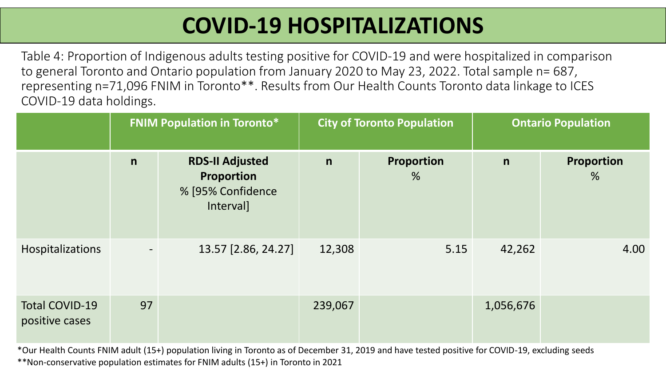# **COVID-19 HOSPITALIZATIONS**

Table 4: Proportion of Indigenous adults testing positive for COVID-19 and were hospitalized in comparison to general Toronto and Ontario population from January 2020 to May 23, 2022. Total sample n= 687, representing n=71,096 FNIM in Toronto\*\*. Results from Our Health Counts Toronto data linkage to ICES COVID-19 data holdings.

|                                         |                | <b>FNIM Population in Toronto*</b>                                     |         | <b>City of Toronto Population</b> |              | <b>Ontario Population</b>   |
|-----------------------------------------|----------------|------------------------------------------------------------------------|---------|-----------------------------------|--------------|-----------------------------|
|                                         | n              | <b>RDS-II Adjusted</b><br>Proportion<br>% [95% Confidence<br>Interval] | n       | Proportion<br>$\frac{0}{6}$       | $\mathsf{n}$ | Proportion<br>$\frac{9}{6}$ |
| Hospitalizations                        | $\blacksquare$ | 13.57 [2.86, 24.27]                                                    | 12,308  | 5.15                              | 42,262       | 4.00                        |
| <b>Total COVID-19</b><br>positive cases | 97             |                                                                        | 239,067 |                                   | 1,056,676    |                             |

\*Our Health Counts FNIM adult (15+) population living in Toronto as of December 31, 2019 and have tested positive for COVID-19, excluding seeds \*\*Non-conservative population estimates for FNIM adults (15+) in Toronto in 2021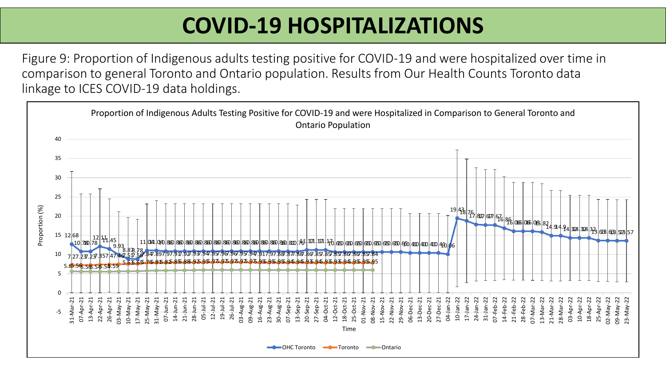# **COVID-19 HOSPITALIZATIONS**

Figure 9: Proportion of Indigenous adults testing positive for COVID-19 and were hospitalized over time in comparison to general Toronto and Ontario population. Results from Our Health Counts Toronto data linkage to ICES COVID-19 data holdings.

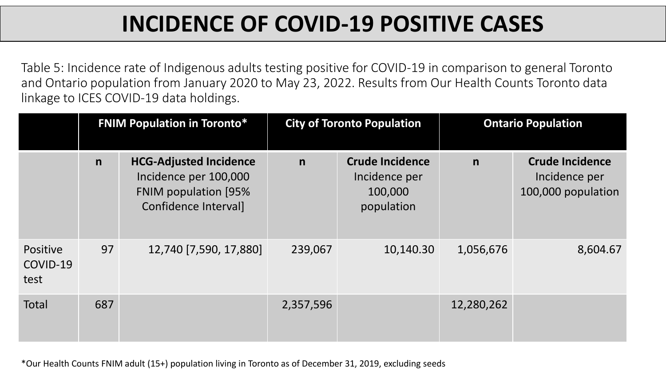# **INCIDENCE OF COVID-19 POSITIVE CASES**

Table 5: Incidence rate of Indigenous adults testing positive for COVID-19 in comparison to general Toronto and Ontario population from January 2020 to May 23, 2022. Results from Our Health Counts Toronto data linkage to ICES COVID-19 data holdings.

|                              |              | <b>FNIM Population in Toronto*</b>                                                                            |             | <b>City of Toronto Population</b>                                | <b>Ontario Population</b> |                                                               |  |  |  |  |  |  |
|------------------------------|--------------|---------------------------------------------------------------------------------------------------------------|-------------|------------------------------------------------------------------|---------------------------|---------------------------------------------------------------|--|--|--|--|--|--|
|                              | $\mathsf{n}$ | <b>HCG-Adjusted Incidence</b><br>Incidence per 100,000<br><b>FNIM population [95%</b><br>Confidence Interval] | $\mathbf n$ | <b>Crude Incidence</b><br>Incidence per<br>100,000<br>population | $\mathsf{n}$              | <b>Crude Incidence</b><br>Incidence per<br>100,000 population |  |  |  |  |  |  |
| Positive<br>COVID-19<br>test | 97           | 12,740 [7,590, 17,880]                                                                                        | 239,067     | 10,140.30                                                        | 1,056,676                 | 8,604.67                                                      |  |  |  |  |  |  |
| <b>Total</b>                 | 687          |                                                                                                               | 2,357,596   |                                                                  | 12,280,262                |                                                               |  |  |  |  |  |  |

\*Our Health Counts FNIM adult (15+) population living in Toronto as of December 31, 2019, excluding seeds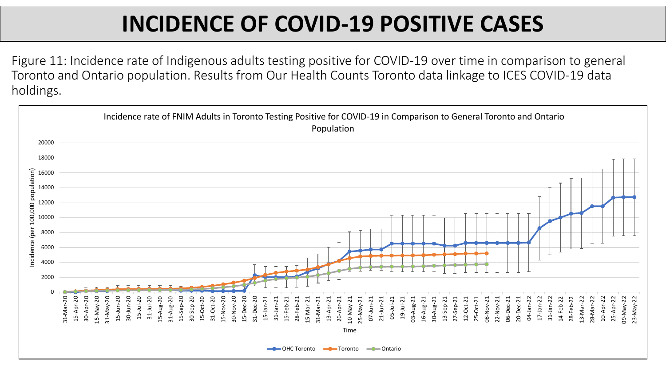# **INCIDENCE OF COVID-19 POSITIVE CASES**

Figure 11: Incidence rate of Indigenous adults testing positive for COVID-19 over time in comparison to general Toronto and Ontario population. Results from Our Health Counts Toronto data linkage to ICES COVID-19 data holdings.

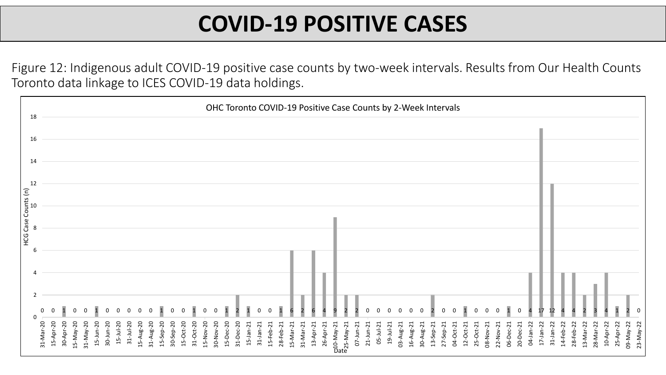#### **COVID-19 POSITIVE CASES**

Figure 12: Indigenous adult COVID-19 positive case counts by two-week intervals. Results from Our Health Counts Toronto data linkage to ICES COVID-19 data holdings.

| 18                                               | OHC Toronto COVID-19 Positive Case Counts by 2-Week Intervals |           |           |           |             |                 |                 |           |                |           |           |             |           |           |           |           |           |           |           |              |              |           |           |           |           |           |           |                              |           |              |           |           |           |           |           |                 |                 |           |             |           |           |           |           |           |           |                 |              |           |           |           |           |           |           |           |           |
|--------------------------------------------------|---------------------------------------------------------------|-----------|-----------|-----------|-------------|-----------------|-----------------|-----------|----------------|-----------|-----------|-------------|-----------|-----------|-----------|-----------|-----------|-----------|-----------|--------------|--------------|-----------|-----------|-----------|-----------|-----------|-----------|------------------------------|-----------|--------------|-----------|-----------|-----------|-----------|-----------|-----------------|-----------------|-----------|-------------|-----------|-----------|-----------|-----------|-----------|-----------|-----------------|--------------|-----------|-----------|-----------|-----------|-----------|-----------|-----------|-----------|
| 16                                               |                                                               |           |           |           |             |                 |                 |           |                |           |           |             |           |           |           |           |           |           |           |              |              |           |           |           |           |           |           |                              |           |              |           |           |           |           |           |                 |                 |           |             |           |           |           |           |           |           |                 |              |           |           |           |           |           |           |           |           |
| -14                                              |                                                               |           |           |           |             |                 |                 |           |                |           |           |             |           |           |           |           |           |           |           |              |              |           |           |           |           |           |           |                              |           |              |           |           |           |           |           |                 |                 |           |             |           |           |           |           |           |           |                 |              |           |           |           |           |           |           |           |           |
| 12                                               |                                                               |           |           |           |             |                 |                 |           |                |           |           |             |           |           |           |           |           |           |           |              |              |           |           |           |           |           |           |                              |           |              |           |           |           |           |           |                 |                 |           |             |           |           |           |           |           |           |                 |              |           |           |           |           |           |           |           |           |
|                                                  |                                                               |           |           |           |             |                 |                 |           |                |           |           |             |           |           |           |           |           |           |           |              |              |           |           |           |           |           |           |                              |           |              |           |           |           |           |           |                 |                 |           |             |           |           |           |           |           |           |                 |              |           |           |           |           |           |           |           |           |
| HCG Case Counts $(n)$<br>$\approx$ $\frac{1}{6}$ |                                                               |           |           |           |             |                 |                 |           |                |           |           |             |           |           |           |           |           |           |           |              |              |           |           |           |           |           |           |                              |           |              |           |           |           |           |           |                 |                 |           |             |           |           |           |           |           |           |                 |              |           |           |           |           |           |           |           |           |
|                                                  |                                                               |           |           |           |             |                 |                 |           |                |           |           |             |           |           |           |           |           |           |           |              |              |           |           |           |           |           |           |                              |           |              |           |           |           |           |           |                 |                 |           |             |           |           |           |           |           |           |                 |              |           |           |           |           |           |           |           |           |
|                                                  |                                                               |           |           |           |             |                 |                 |           |                |           |           |             |           |           |           |           |           |           |           |              |              |           |           |           |           |           |           |                              |           |              |           |           |           |           |           |                 |                 |           |             |           |           |           |           |           |           |                 |              |           |           |           |           |           |           |           |           |
|                                                  |                                                               |           |           |           |             |                 |                 |           |                |           |           |             |           |           |           |           |           |           |           |              |              |           |           |           |           |           |           |                              |           |              |           |           |           |           |           |                 |                 |           |             |           |           |           |           |           |           |                 |              |           |           |           |           |           |           |           |           |
|                                                  | 31-Mar-20                                                     | 15-Apr-20 | 30-Apr-20 | 15-May-20 | $31-NaY-20$ | $15 - Jun - 20$ | $30 - Jun - 20$ | 15-Jul-20 | $31 - Ju - 20$ | 15-Aug-20 | 31-Aug-20 | $15-5ep-20$ | 30-Sep-20 | 15-Oct-20 | 31-Oct-20 | 15-Nov-20 | 30-Nov-20 | 15-Dec-20 | 31-Dec-20 | $15$ -Jan-21 | $31$ -Jan-21 | 15-Feb-21 | 28-Feb-21 | 15-Mar-21 | 31-Mar-21 | 13-Apr-21 | 26-Apr-21 | D10-May-21<br>http://www.pdf | 07-Jun-21 | $21$ -Jun-21 | 05-Jul-21 | 19-Jul-21 | 03-Aug-21 | 16-Aug-21 | 30-Aug-21 | $13 - 5ep - 21$ | $27 - 5ep - 21$ | 04-Oct-21 | $12-Oct-21$ | 25-Oct-21 | 08-Nov-21 | 22-Nov-21 | 06-Dec-21 | 20-Dec-21 | 04-Jan-22 | $17 - Jan - 22$ | $31$ -Jan-22 | 14-Feb-22 | 28-Feb-22 | 13-Mar-22 | 28-Mar-22 | 10-Apr-22 | 25-Apr-22 | 09-May-22 | 23-May-22 |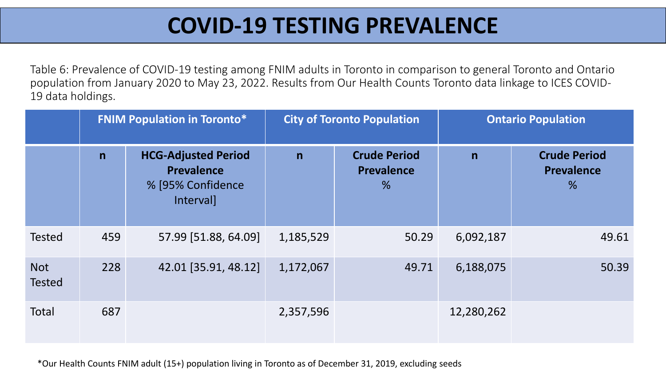#### **COVID-19 TESTING PREVALENCE**

Table 6: Prevalence of COVID-19 testing among FNIM adults in Toronto in comparison to general Toronto and Ontario population from January 2020 to May 23, 2022. Results from Our Health Counts Toronto data linkage to ICES COVID-19 data holdings.

|                             |              | <b>FNIM Population in Toronto*</b>                                         |           | <b>City of Toronto Population</b>             | <b>Ontario Population</b> |                                                           |  |  |  |  |  |  |  |
|-----------------------------|--------------|----------------------------------------------------------------------------|-----------|-----------------------------------------------|---------------------------|-----------------------------------------------------------|--|--|--|--|--|--|--|
|                             | $\mathsf{n}$ | <b>HCG-Adjusted Period</b><br>Prevalence<br>% [95% Confidence<br>Interval] | n         | <b>Crude Period</b><br><b>Prevalence</b><br>% | n                         | <b>Crude Period</b><br><b>Prevalence</b><br>$\frac{9}{6}$ |  |  |  |  |  |  |  |
| <b>Tested</b>               | 459          | 57.99 [51.88, 64.09]                                                       | 1,185,529 | 50.29                                         | 6,092,187                 | 49.61                                                     |  |  |  |  |  |  |  |
| <b>Not</b><br><b>Tested</b> | 228          | 42.01 [35.91, 48.12]                                                       | 1,172,067 | 49.71                                         | 6,188,075                 | 50.39                                                     |  |  |  |  |  |  |  |
| Total                       | 687          |                                                                            | 2,357,596 |                                               | 12,280,262                |                                                           |  |  |  |  |  |  |  |

\*Our Health Counts FNIM adult (15+) population living in Toronto as of December 31, 2019, excluding seeds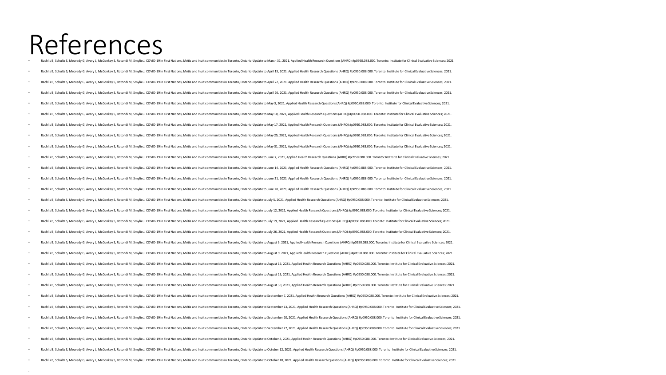# References • Rachlis B, Schultz S, Mecredy G, Avery L, McConkey S, Rotondi M, Smylie J. COVID-19 in First Nations, Métis and Inuit communities in Toronto, Ontario-Update to March 31, 2021, Applied Health Research Questions (AHRQ) #p0950.088.000. Toronto: Institute for Clinical Evaluative Sciences; 2021.

.

Nachlis B, Schultz S, Mecredy G, Avery L, McConkey S, Rotondi M, Smylie J. COVID-19 in First Nations, Métis and Inuit communities in Toronto, Ontario-Update to April 13, 2021, Applied Health Research Questions (AHRQ) #p095 Rachlis B, Schultz S, Mecredy G, Avery L, McConkey S, Rotondi M, Smylie J. COVID-19 in First Nations, Métis and Inuit communities in Toronto, Ontario-Update to April 22, 2021, Applied Health Research Questions (AHRQ) #p095 Rachlis B, Schultz S, Mecredy G, Avery L, McConkey S, Rotondi M, Smylie J. COVID-19 in First Nations, Métis and Inuit communities in Toronto, Ontario-Update to April 26, 2021, Applied Health Research Questions (AHRQ) #p095 Nachlis B, Schultz S, Mecredy G, Avery L, McConkey S, Rotondi M, Smylie J. COVID-19 in First Nations, Métis and Inuit communities in Toronto, Ontario-Update to May 3, 2021, Applied Health Research Questions (AHRQ) #p0950.0 Rachlis B, Schultz S, Mecredy G, Avery L, McConkey S, Rotondi M, Smylie J. COVID-19 in First Nations, Métis and Inuit communities in Toronto, Ontario-Update to May 10, 2021, Applied Health Research Questions (AHRQ) #p0950. Rachlis B, Schultz S, Mecredy G, Avery L, McConkey S, Rotondi M, Smylie J. COVID-19 in First Nations, Métis and Inuit communities in Toronto, Ontario-Update to May 17, 2021, Applied Health Research Questions (AHRQ) #p0950. Rachlis B, Schultz S, Mecredy G, Avery L, McConkey S, Rotondi M, Smylie J. COVID-19 in First Nations, Métis and Inuit communities in Toronto, Ontario-Update to May 25, 2021, Applied Health Research Questions (AHRQ) #p0950. Nachlis B, Schultz S, Mecredy G, Avery L, McConkey S, Rotondi M, Smylie J. COVID-19 in First Nations, Métis and Inuit communities in Toronto, Ontario-Update to May 31, 2021, Applied Health Research Questions (AHRQ) #p0950. Rachlis B, Schultz S, Mecredy G, Avery L, McConkey S, Rotondi M, Smylie J. COVID-19 in First Nations, Métis and Inuit communities in Toronto, Ontario-Update to June 7, 2021, Applied Health Research Questions (AHRQ) #p0950. Rachlis B, Schultz S, Mecredy G, Avery L, McConkey S, Rotondi M, Smylie J. COVID-19 in First Nations, Métis and Inuit communities in Toronto, Ontario-Update to June 14, 2021, Applied Health Research Questions (AHRQ) #p0950 Rachlis B, Schultz S, Mecredy G, Avery L, McConkey S, Rotondi M, Smylie J. COVID-19 in First Nations, Métis and Inuit communities in Toronto, Ontario-Update to June 21, 2021, Applied Health Research Questions (AHRQ) #p0950 Rachlis B, Schultz S, Mecredy G, Avery L, McConkey S, Rotondi M, Smylie J. COVID-19 in First Nations, Métis and Inuit communities in Toronto, Ontario-Update to June 28, 2021, Applied Health Research Questions (AHRQ) #p0950 Rachlis B, Schultz S, Mecredy G, Avery L, McConkey S, Rotondi M, Smylie J. COVID-19 in First Nations, Métis and Inuit communities in Toronto, Ontario-Update to July 5, 2021, Applied Health Research Questions (AHRQ) #p0950. Rachlis B, Schultz S, Mecredy G, Avery L, McConkey S, Rotondi M, Smylie J. COVID-19 in First Nations, Métis and Inuit communities in Toronto, Ontario-Update to July 12, 2021, Applied Health Research Questions (AHRQ) #p0950 Rachlis B, Schultz S, Mecredy G, Avery L, McConkey S, Rotondi M, Smylie J. COVID-19 in First Nations, Métis and Inuit communities in Toronto, Ontario-Update to July 19, 2021, Applied Health Research Questions (AHRQ) #p0950 Rachlis B, Schultz S, Mecredy G, Avery L, McConkey S, Rotondi M, Smylie J. COVID-19 in First Nations, Métis and Inuit communities in Toronto, Ontario-Update to July 26, 2021, Applied Health Research Questions (AHRQ) #p0950 Rachlis B, Schultz S, Mecredy G, Avery L, McConkey S, Rotondi M, Smylie J. COVID-19 in First Nations, Métis and Inuit communities in Toronto, Ontario-Update to August 3, 2021, Applied Health Research Questions (AHRQ) #p095 Rachlis B, Schultz S, Mecredy G, Avery L, McConkey S, Rotondi M, Smylie J. COVID-19 in First Nations, Métis and Inuit communities in Toronto, Ontario-Update to August 9, 2021. Applied Health Research Questions (AHRQ) #p095 Rachlis B, Schultz S, Mecredy G, Avery L, McConkey S, Rotondi M, Smylie J. COVID-19 in First Nations, Métis and Inuit communities in Toronto, Ontario-Update to August 16, 2021, Applied Health Research Questions (AHRQ) #p09 Rachlis B, Schultz S, Mecredy G, Avery L, McConkey S, Rotondi M, Smylie J. COVID-19 in First Nations, Métis and Inuit communities in Toronto, Ontario-Update to August 23, 2021, Applied Health Research Questions (AHRQ) #p09 Rachlis B, Schultz S, Mecredy G, Avery L, McConkey S, Rotondi M, Smylie J. COVID-19 in First Nations, Métis and Inuit communities in Toronto, Ontario-Update to August 30, 2021, Applied Health Research Questions (AHRQ) #p09 Rachlis B, Schultz S, Mecredy G, Avery L, McConkey S, Rotondi M, Smylie J. COVID-19 in First Nations, Métis and Inuit communities in Toronto, Ontario-Update to September 7, 2021, Applied Health Research Questions (AHRQ) #p Rachlis B, Schultz S, Mecredy G, Avery L, McConkey S, Rotondi M, Smylie J. COVID-19 in First Nations, Métis and Inuit communities in Toronto, Ontario-Update to September 13, 2021, Applied Health Research Questions (AHRQ) # Rachlis B, Schultz S, Mecredy G, Avery L, McConkey S, Rotondi M, Smylie J. COVID-19 in First Nations, Métis and Inuit communities in Toronto, Ontario-Update to September 20, 2021, Applied Health Research Questions (AHRQ) # Rachlis B. Schultz S. Mecredy G. Avery L, McConkey S, Rotondi M, Smylie J. COVID-19 in First Nations, Métis and Inuit communities in Toronto, Ontario-Update to September 27, 2021, Applied Health Research Questions (AHRQ) # Rachlis B, Schultz S, Mecredy G, Avery L, McConkey S, Rotondi M, Smylie J. COVID-19 in First Nations, Métis and Inuit communities in Toronto, Ontario-Update to October 4, 2021, Applied Health Research Questions (AHRQ) #p09 Rachlis B, Schultz S, Mecredy G, Avery L, McConkey S, Rotondi M, Smylie J. COVID-19 in First Nations, Métis and Inuit communities in Toronto, Ontario-Update to October 12, 2021, Applied Health Research Questions (AHRQ) #p0 Rachlis B. Schultz S. Mecredy G. Ayery L. McConkey S. Rotondi M. Smylie J. COVID-19 in First Nations. Métis and Inuit communities in Toronto. Ontario-Update to October 18. 2021. Applied Health Research Questions (AHRQ) #p0